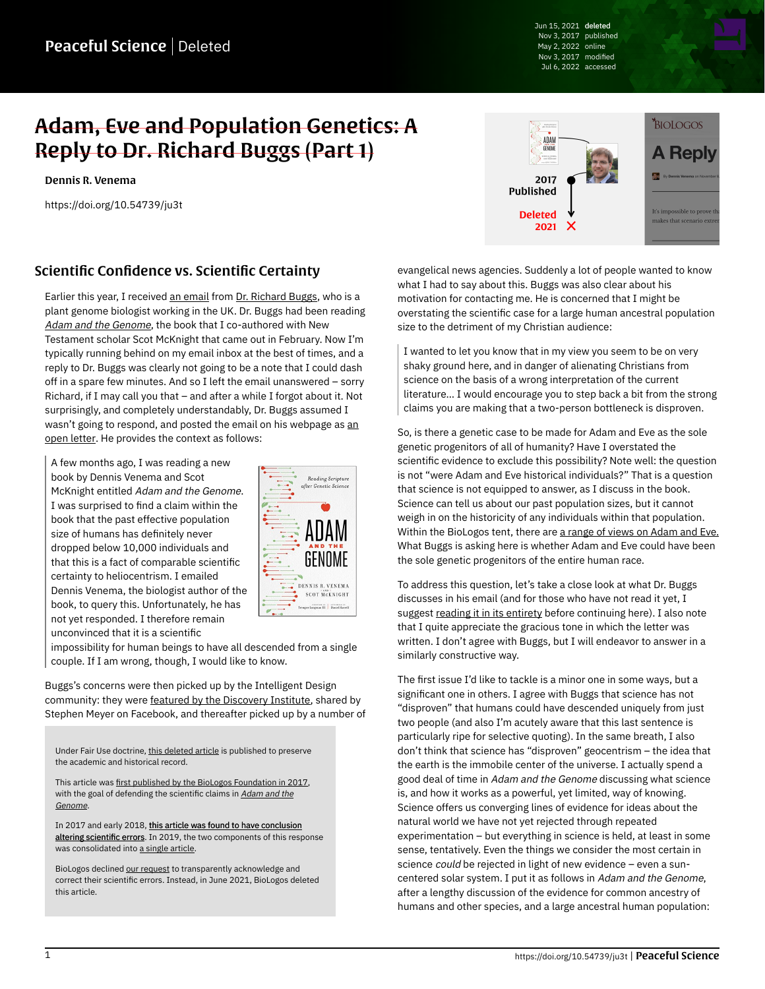Jun 15, 2021 deleted Nov 3, 2017 published May 2, 2022 online Nov 3, 2017 modified Jul 6, 2022 accessed

## Adam, Eve and Population Genetics: A Reply to Dr. Richard Buggs (Part 1)

[Dennis R. Venema](https://peacefulscience.org/authors/dennis-venema/)

<https://doi.org/10.54739/ju3t>



## Scientific Confidence vs. Scientific Certainty

Earlier this year, I received [an email](http://richardbuggs.com/2017/09/29/email-to-dennis-venema-about-human-population-bottlenecks) from [Dr. Richard Buggs](http://www.sbcs.qmul.ac.uk/staff/richardbuggs.html), who is a plant genome biologist working in the UK. Dr. Buggs had been reading [Adam and the Genome](https://peacefulscience.org/books/adam-genome/), the book that I co-authored with New Testament scholar Scot McKnight that came out in February. Now I'm typically running behind on my email inbox at the best of times, and a reply to Dr. Buggs was clearly not going to be a note that I could dash off in a spare few minutes. And so I left the email unanswered – sorry Richard, if I may call you that – and after a while I forgot about it. Not surprisingly, and completely understandably, Dr. Buggs assumed I wasn't going to respond, [an](https://richardbuggs.com/2017/09/29/email-to-dennis-venema-about-human-population-bottlenecks)d posted the email on his webpage as an [open letter.](https://richardbuggs.com/2017/09/29/email-to-dennis-venema-about-human-population-bottlenecks) He provides the context as follows:

A few months ago, I was reading a new book by Dennis Venema and Scot McKnight entitled Adam and the Genome. I was surprised to find a claim within the book that the past effective population size of humans has definitely never dropped below 10,000 individuals and that this is a fact of comparable scientific certainty to heliocentrism. I emailed Dennis Venema, the biologist author of the book, to query this. Unfortunately, he has not yet responded. I therefore remain unconvinced that it is a scientific



impossibility for human beings to have all descended from a single couple. If I am wrong, though, I would like to know.

Buggs's concerns were then picked up by the Intelligent Design community: they were [featured by the Discovery Institute](https://evolutionnews.org/2017/10/does-science-rule-out-a-first-human-pair-geneticist-richard-buggs-says-no), shared by Stephen Meyer on Facebook, and thereafter picked up by a number of

Under Fair Use doctrine, [this deleted article](https://web.archive.org/web/20200106044804/https://biologos.org/articles/a-reply-to-dr-richard-buggs) is published to preserve the academic and historical record.

This article was [first published by the BioLogos Foundation in 2017](https://biologos.org/blogs/dennis-venema-letters-to-the-duchess/adam-eve-and-population-genetics-a-reply-to-dr-richard-buggs-part-1), with the goal of defending the scientific claims in [Adam and the](https://peacefulscience.org/books/adam-genome/) [Genome](https://peacefulscience.org/books/adam-genome/).

In 2017 and early 2018, [this article was found to have conclusion](https://peacefulscience.org/articles/three-stories-on-adam/) [altering scientific errors.](https://peacefulscience.org/articles/three-stories-on-adam/) In 2019, the two components of this response was consolidated into [a single article.](https://web.archive.org/web/20200106044804/https://biologos.org/articles/a-reply-to-dr-richard-buggs)

BioLogos declined [our request](https://peacefulscience.org/articles/biologos-stealth-deletes-an-article/) to transparently acknowledge and correct their scientific errors. Instead, in June 2021, BioLogos deleted this article.

evangelical news agencies. Suddenly a lot of people wanted to know what I had to say about this. Buggs was also clear about his motivation for contacting me. He is concerned that I might be overstating the scientific case for a large human ancestral population size to the detriment of my Christian audience:

I wanted to let you know that in my view you seem to be on very shaky ground here, and in danger of alienating Christians from science on the basis of a wrong interpretation of the current literature… I would encourage you to step back a bit from the strong claims you are making that a two-person bottleneck is disproven.

So, is there a genetic case to be made for Adam and Eve as the sole genetic progenitors of all of humanity? Have I overstated the scientific evidence to exclude this possibility? Note well: the question is not "were Adam and Eve historical individuals?" That is a question that science is not equipped to answer, as I discuss in the book. Science can tell us about our past population sizes, but it cannot weigh in on the historicity of any individuals within that population. Within the BioLogos tent, there are [a range of views on Adam and Eve.](https://discourse.peacefulscience.org/t/_/5847/3) What Buggs is asking here is whether Adam and Eve could have been the sole genetic progenitors of the entire human race.

To address this question, let's take a close look at what Dr. Buggs discusses in his email (and for those who have not read it yet, I suggest [reading it in its entirety](https://richardbuggs.com/2017/09/29/email-to-dennis-venema-about-human-population-bottlenecks) before continuing here). I also note that I quite appreciate the gracious tone in which the letter was written. I don't agree with Buggs, but I will endeavor to answer in a similarly constructive way.

The first issue I'd like to tackle is a minor one in some ways, but a significant one in others. I agree with Buggs that science has not "disproven" that humans could have descended uniquely from just two people (and also I'm acutely aware that this last sentence is particularly ripe for selective quoting). In the same breath, I also don't think that science has "disproven" geocentrism – the idea that the earth is the immobile center of the universe. I actually spend a good deal of time in Adam and the Genome discussing what science is, and how it works as a powerful, yet limited, way of knowing. Science offers us converging lines of evidence for ideas about the natural world we have not yet rejected through repeated experimentation – but everything in science is held, at least in some sense, tentatively. Even the things we consider the most certain in science could be rejected in light of new evidence – even a suncentered solar system. I put it as follows in Adam and the Genome, after a lengthy discussion of the evidence for common ancestry of humans and other species, and a large ancestral human population: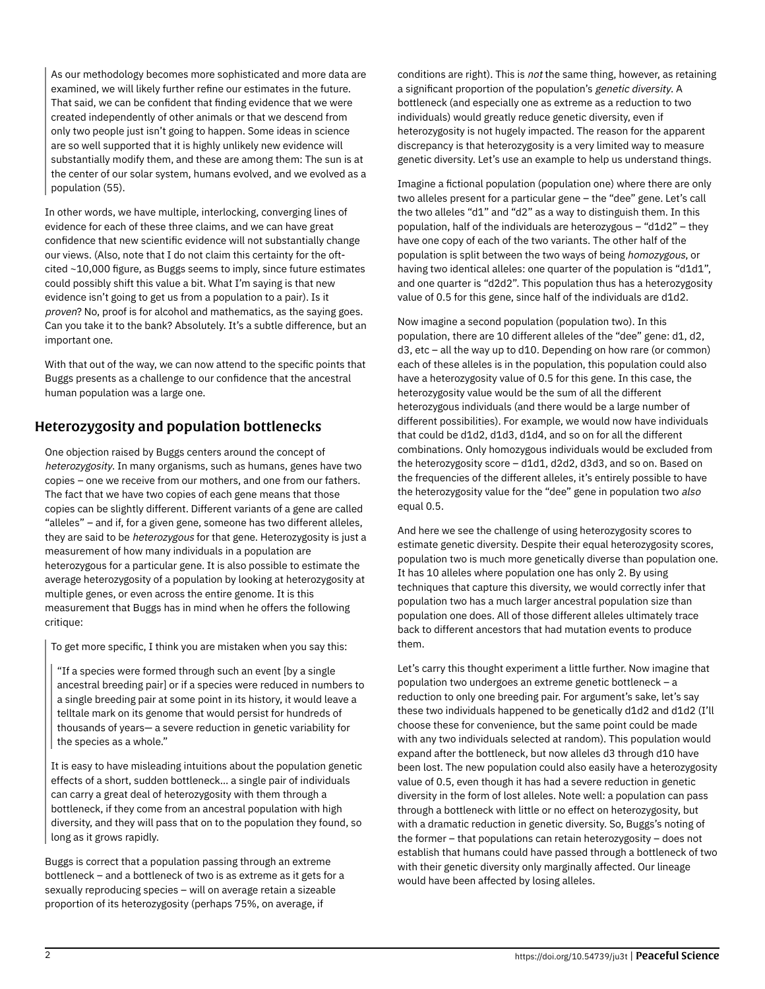As our methodology becomes more sophisticated and more data are examined, we will likely further refine our estimates in the future. That said, we can be confident that finding evidence that we were created independently of other animals or that we descend from only two people just isn't going to happen. Some ideas in science are so well supported that it is highly unlikely new evidence will substantially modify them, and these are among them: The sun is at the center of our solar system, humans evolved, and we evolved as a population (55).

In other words, we have multiple, interlocking, converging lines of evidence for each of these three claims, and we can have great confidence that new scientific evidence will not substantially change our views. (Also, note that I do not claim this certainty for the oftcited ~10,000 figure, as Buggs seems to imply, since future estimates could possibly shift this value a bit. What I'm saying is that new evidence isn't going to get us from a population to a pair). Is it proven? No, proof is for alcohol and mathematics, as the saying goes. Can you take it to the bank? Absolutely. It's a subtle difference, but an important one.

With that out of the way, we can now attend to the specific points that Buggs presents as a challenge to our confidence that the ancestral human population was a large one.

## Heterozygosity and population bottlenecks

One objection raised by Buggs centers around the concept of heterozygosity. In many organisms, such as humans, genes have two copies – one we receive from our mothers, and one from our fathers. The fact that we have two copies of each gene means that those copies can be slightly different. Different variants of a gene are called "alleles" – and if, for a given gene, someone has two different alleles, they are said to be heterozygous for that gene. Heterozygosity is just a measurement of how many individuals in a population are heterozygous for a particular gene. It is also possible to estimate the average heterozygosity of a population by looking at heterozygosity at multiple genes, or even across the entire genome. It is this measurement that Buggs has in mind when he offers the following critique:

To get more specific, I think you are mistaken when you say this:

"If a species were formed through such an event [by a single ancestral breeding pair] or if a species were reduced in numbers to a single breeding pair at some point in its history, it would leave a telltale mark on its genome that would persist for hundreds of thousands of years— a severe reduction in genetic variability for the species as a whole."

It is easy to have misleading intuitions about the population genetic effects of a short, sudden bottleneck… a single pair of individuals can carry a great deal of heterozygosity with them through a bottleneck, if they come from an ancestral population with high diversity, and they will pass that on to the population they found, so long as it grows rapidly.

Buggs is correct that a population passing through an extreme bottleneck – and a bottleneck of two is as extreme as it gets for a sexually reproducing species – will on average retain a sizeable proportion of its heterozygosity (perhaps 75%, on average, if

conditions are right). This is not the same thing, however, as retaining a significant proportion of the population's genetic diversity. A bottleneck (and especially one as extreme as a reduction to two individuals) would greatly reduce genetic diversity, even if heterozygosity is not hugely impacted. The reason for the apparent discrepancy is that heterozygosity is a very limited way to measure genetic diversity. Let's use an example to help us understand things.

Imagine a fictional population (population one) where there are only two alleles present for a particular gene – the "dee" gene. Let's call the two alleles "d1" and "d2" as a way to distinguish them. In this population, half of the individuals are heterozygous – "d1d2" – they have one copy of each of the two variants. The other half of the population is split between the two ways of being homozygous, or having two identical alleles: one quarter of the population is "d1d1", and one quarter is "d2d2". This population thus has a heterozygosity value of 0.5 for this gene, since half of the individuals are d1d2.

Now imagine a second population (population two). In this population, there are 10 different alleles of the "dee" gene: d1, d2, d3, etc – all the way up to d10. Depending on how rare (or common) each of these alleles is in the population, this population could also have a heterozygosity value of 0.5 for this gene. In this case, the heterozygosity value would be the sum of all the different heterozygous individuals (and there would be a large number of different possibilities). For example, we would now have individuals that could be d1d2, d1d3, d1d4, and so on for all the different combinations. Only homozygous individuals would be excluded from the heterozygosity score – d1d1, d2d2, d3d3, and so on. Based on the frequencies of the different alleles, it's entirely possible to have the heterozygosity value for the "dee" gene in population two also equal 0.5.

And here we see the challenge of using heterozygosity scores to estimate genetic diversity. Despite their equal heterozygosity scores, population two is much more genetically diverse than population one. It has 10 alleles where population one has only 2. By using techniques that capture this diversity, we would correctly infer that population two has a much larger ancestral population size than population one does. All of those different alleles ultimately trace back to different ancestors that had mutation events to produce them.

Let's carry this thought experiment a little further. Now imagine that population two undergoes an extreme genetic bottleneck – a reduction to only one breeding pair. For argument's sake, let's say these two individuals happened to be genetically d1d2 and d1d2 (I'll choose these for convenience, but the same point could be made with any two individuals selected at random). This population would expand after the bottleneck, but now alleles d3 through d10 have been lost. The new population could also easily have a heterozygosity value of 0.5, even though it has had a severe reduction in genetic diversity in the form of lost alleles. Note well: a population can pass through a bottleneck with little or no effect on heterozygosity, but with a dramatic reduction in genetic diversity. So, Buggs's noting of the former – that populations can retain heterozygosity – does not establish that humans could have passed through a bottleneck of two with their genetic diversity only marginally affected. Our lineage would have been affected by losing alleles.